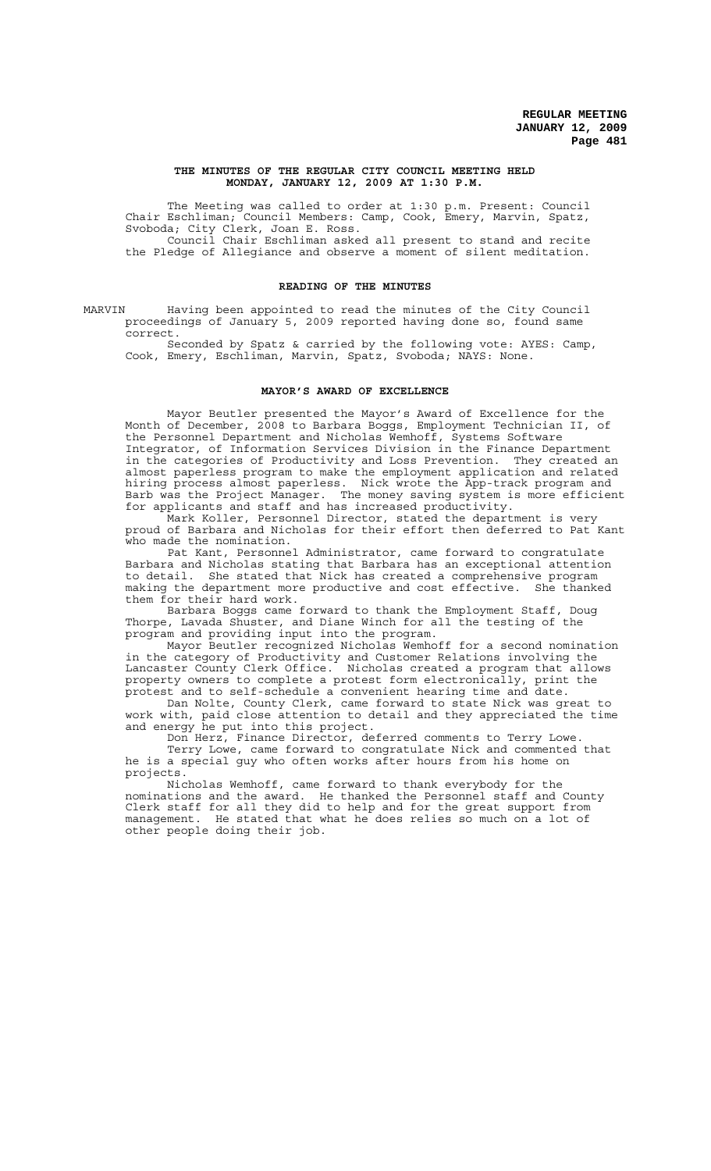#### **THE MINUTES OF THE REGULAR CITY COUNCIL MEETING HELD MONDAY, JANUARY 12, 2009 AT 1:30 P.M.**

The Meeting was called to order at 1:30 p.m. Present: Council Chair Eschliman; Council Members: Camp, Cook, Emery, Marvin, Spatz, Svoboda; City Clerk, Joan E. Ross. Council Chair Eschliman asked all present to stand and recite

the Pledge of Allegiance and observe a moment of silent meditation.

### **READING OF THE MINUTES**

MARVIN Having been appointed to read the minutes of the City Council proceedings of January 5, 2009 reported having done so, found same correct.

Seconded by Spatz & carried by the following vote: AYES: Camp, Cook, Emery, Eschliman, Marvin, Spatz, Svoboda; NAYS: None.

#### **MAYOR'S AWARD OF EXCELLENCE**

Mayor Beutler presented the Mayor's Award of Excellence for the Month of December, 2008 to Barbara Boggs, Employment Technician II, of the Personnel Department and Nicholas Wemhoff, Systems Software Integrator, of Information Services Division in the Finance Department in the categories of Productivity and Loss Prevention. They created an almost paperless program to make the employment application and related<br>hiring process almost paperless. Nick wrote the App-track program and Nick wrote the App-track program and Barb was the Project Manager. The money saving system is more efficient for applicants and staff and has increased productivity.

Mark Koller, Personnel Director, stated the department is very proud of Barbara and Nicholas for their effort then deferred to Pat Kant who made the nomination.

Pat Kant, Personnel Administrator, came forward to congratulate Barbara and Nicholas stating that Barbara has an exceptional attention to detail. She stated that Nick has created a comprehensive program making the department more productive and cost effective. She thanked them for their hard work.

Barbara Boggs came forward to thank the Employment Staff, Doug Thorpe, Lavada Shuster, and Diane Winch for all the testing of the program and providing input into the program.

Mayor Beutler recognized Nicholas Wemhoff for a second nomination in the category of Productivity and Customer Relations involving the Lancaster County Clerk Office. Nicholas created a program that allows property owners to complete a protest form electronically, print the protest and to self-schedule a convenient hearing time and date.

Dan Nolte, County Clerk, came forward to state Nick was great to work with, paid close attention to detail and they appreciated the time and energy he put into this project.

Don Herz, Finance Director, deferred comments to Terry Lowe. Terry Lowe, came forward to congratulate Nick and commented that he is a special guy who often works after hours from his home on projects.

Nicholas Wemhoff, came forward to thank everybody for the nominations and the award. He thanked the Personnel staff and County Clerk staff for all they did to help and for the great support from management. He stated that what he does relies so much on a lot of other people doing their job.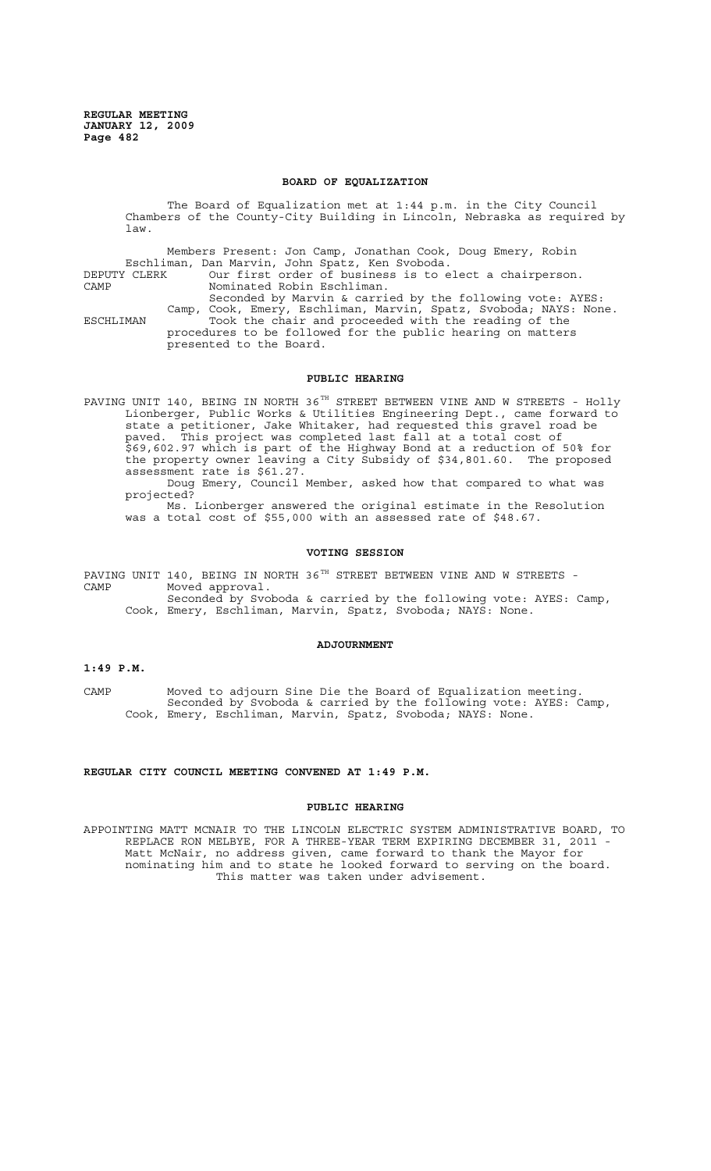#### **BOARD OF EQUALIZATION**

The Board of Equalization met at 1:44 p.m. in the City Council Chambers of the County-City Building in Lincoln, Nebraska as required by law.

Members Present: Jon Camp, Jonathan Cook, Doug Emery, Robin Eschliman, Dan Marvin, John Spatz, Ken Svoboda. DEPUTY CLERK Our first order of business is to elect a chairperson. CAMP Nominated Robin Eschliman. Seconded by Marvin & carried by the following vote: AYES: Camp, Cook, Emery, Eschliman, Marvin, Spatz, Svoboda; NAYS: None. ESCHLIMAN Took the chair and proceeded with the reading of the procedures to be followed for the public hearing on matters presented to the Board.

## **PUBLIC HEARING**

PAVING UNIT 140, BEING IN NORTH 36<sup>TH</sup> STREET BETWEEN VINE AND W STREETS - Holly Lionberger, Public Works & Utilities Engineering Dept., came forward to state a petitioner, Jake Whitaker, had requested this gravel road be paved. This project was completed last fall at a total cost of \$69,602.97 which is part of the Highway Bond at a reduction of 50% for the property owner leaving a City Subsidy of \$34,801.60. The proposed assessment rate is \$61.27. Doug Emery, Council Member, asked how that compared to what was projected?

Ms. Lionberger answered the original estimate in the Resolution was a total cost of \$55,000 with an assessed rate of \$48.67.

### **VOTING SESSION**

PAVING UNIT 140, BEING IN NORTH 36 $^{TH}$  STREET BETWEEN VINE AND W STREETS -CAMP Moved approval. Seconded by Svoboda & carried by the following vote: AYES: Camp, Cook, Emery, Eschliman, Marvin, Spatz, Svoboda; NAYS: None.

#### **ADJOURNMENT**

# **1:49 P.M.**

CAMP Moved to adjourn Sine Die the Board of Equalization meeting. Seconded by Svoboda & carried by the following vote: AYES: Camp, Cook, Emery, Eschliman, Marvin, Spatz, Svoboda; NAYS: None.

## **REGULAR CITY COUNCIL MEETING CONVENED AT 1:49 P.M.**

#### **PUBLIC HEARING**

APPOINTING MATT MCNAIR TO THE LINCOLN ELECTRIC SYSTEM ADMINISTRATIVE BOARD, TO REPLACE RON MELBYE, FOR A THREE-YEAR TERM EXPIRING DECEMBER 31, 2011 - Matt McNair, no address given, came forward to thank the Mayor for nominating him and to state he looked forward to serving on the board. This matter was taken under advisement.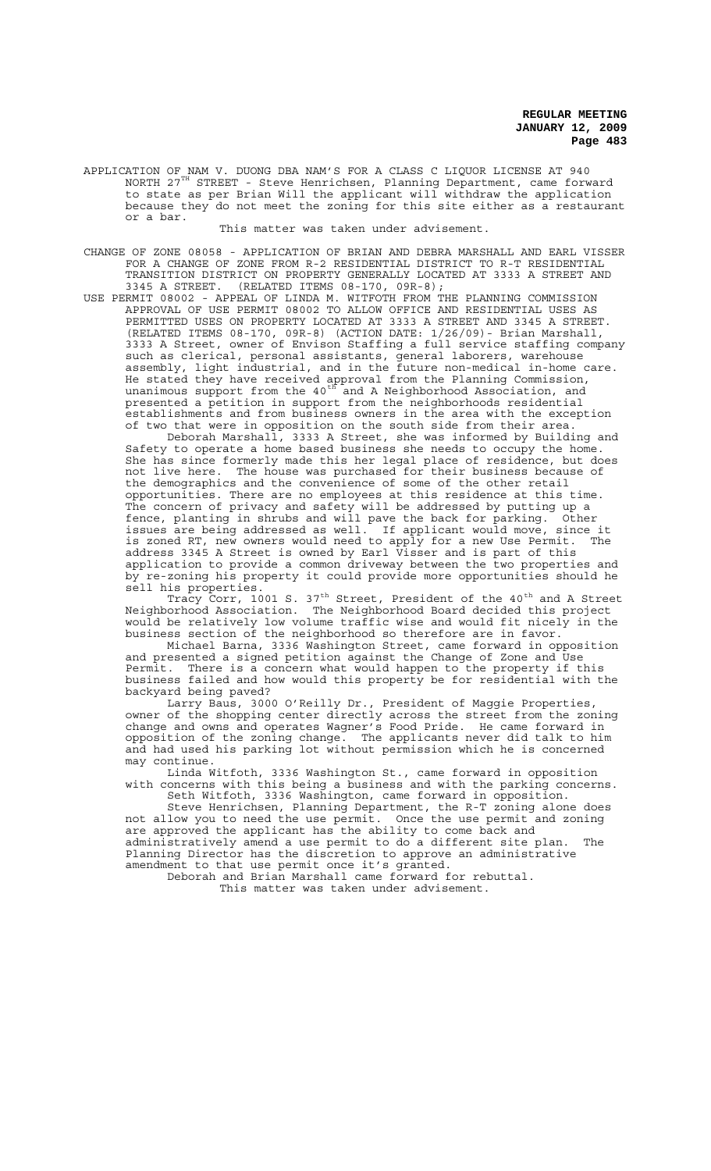APPLICATION OF NAM V. DUONG DBA NAM'S FOR A CLASS C LIQUOR LICENSE AT 940 NORTH 27TH STREET - Steve Henrichsen, Planning Department, came forward to state as per Brian Will the applicant will withdraw the application because they do not meet the zoning for this site either as a restaurant or a bar.

This matter was taken under advisement.

- CHANGE OF ZONE 08058 APPLICATION OF BRIAN AND DEBRA MARSHALL AND EARL VISSER FOR A CHANGE OF ZONE FROM R-2 RESIDENTIAL DISTRICT TO R-T RESIDENTIAL TRANSITION DISTRICT ON PROPERTY GENERALLY LOCATED AT 3333 A STREET AND 3345 A STREET. (RELATED ITEMS 08-170, 09R-8);
- USE PERMIT 08002 APPEAL OF LINDA M. WITFOTH FROM THE PLANNING COMMISSION APPROVAL OF USE PERMIT 08002 TO ALLOW OFFICE AND RESIDENTIAL USES AS PERMITTED USES ON PROPERTY LOCATED AT 3333 A STREET AND 3345 A STREET. (RELATED ITEMS 08-170, 09R-8) (ACTION DATE: 1/26/09)- Brian Marshall, 3333 A Street, owner of Envison Staffing a full service staffing company such as clerical, personal assistants, general laborers, warehouse assembly, light industrial, and in the future non-medical in-home care. He stated they have received approval from the Planning Commission, unanimous support from the 40 $^{\text{th}}$  and A Neighborhood Association, and presented a petition in support from the neighborhoods residential establishments and from business owners in the area with the exception of two that were in opposition on the south side from their area.

Deborah Marshall, 3333 A Street, she was informed by Building and Safety to operate a home based business she needs to occupy the home. She has since formerly made this her legal place of residence, but does not live here. The house was purchased for their business because of the demographics and the convenience of some of the other retail opportunities. There are no employees at this residence at this time. The concern of privacy and safety will be addressed by putting up a fence, planting in shrubs and will pave the back for parking. Other issues are being addressed as well. If applicant would move, since it is zoned RT, new owners would need to apply for a new Use Permit. The address 3345 A Street is owned by Earl Visser and is part of this application to provide a common driveway between the two properties and by re-zoning his property it could provide more opportunities should he sell his properties.

Tracy Corr, 1001 S. 37<sup>th</sup> Street, President of the 40<sup>th</sup> and A Street Neighborhood Association. The Neighborhood Board decided this project would be relatively low volume traffic wise and would fit nicely in the business section of the neighborhood so therefore are in favor.

Michael Barna, 3336 Washington Street, came forward in opposition and presented a signed petition against the Change of Zone and Use Permit. There is a concern what would happen to the property if this business failed and how would this property be for residential with the backyard being paved?

Larry Baus, 3000 O'Reilly Dr., President of Maggie Properties, owner of the shopping center directly across the street from the zoning change and owns and operates Wagner's Food Pride. He came forward in opposition of the zoning change. The applicants never did talk to him and had used his parking lot without permission which he is concerned may continue.

Linda Witfoth, 3336 Washington St., came forward in opposition with concerns with this being a business and with the parking concerns. Seth Witfoth, 3336 Washington, came forward in opposition.

Steve Henrichsen, Planning Department, the R-T zoning alone does not allow you to need the use permit. Once the use permit and zoning are approved the applicant has the ability to come back and administratively amend a use permit to do a different site plan. The Planning Director has the discretion to approve an administrative amendment to that use permit once it's granted.

Deborah and Brian Marshall came forward for rebuttal. This matter was taken under advisement.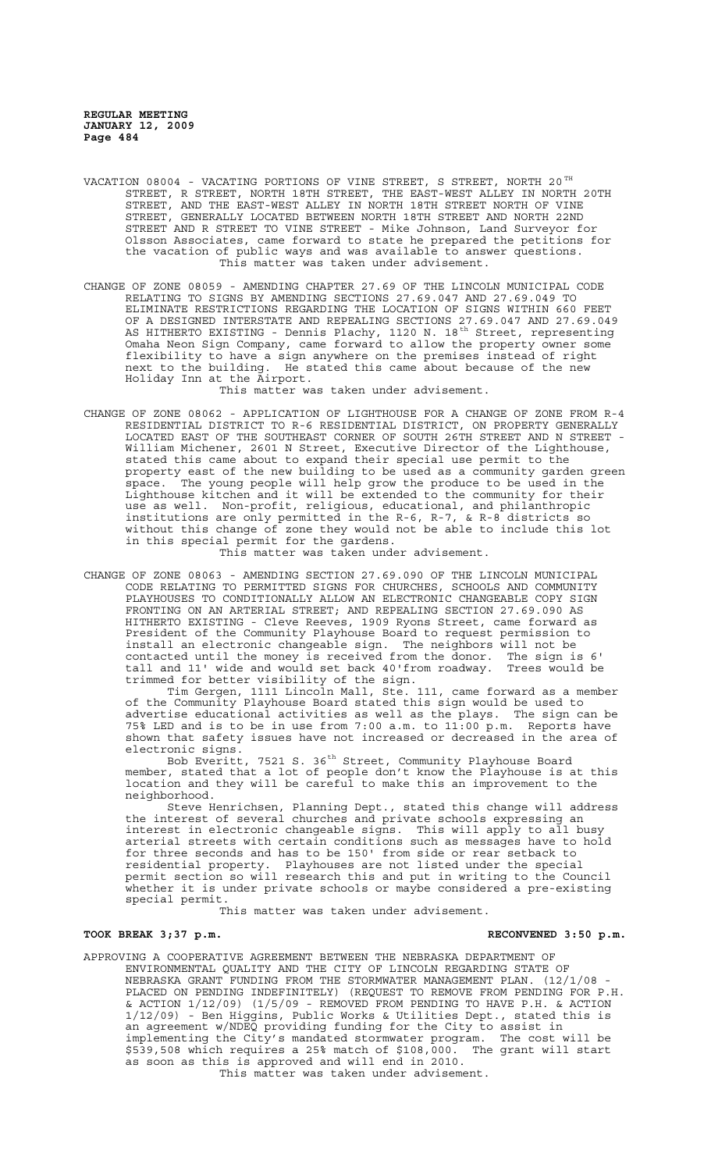- VACATION 08004 VACATING PORTIONS OF VINE STREET, S STREET, NORTH 20  $^{\texttt{TH}}$ STREET, R STREET, NORTH 18TH STREET, THE EAST-WEST ALLEY IN NORTH 20TH STREET, AND THE EAST-WEST ALLEY IN NORTH 18TH STREET NORTH OF VINE STREET, GENERALLY LOCATED BETWEEN NORTH 18TH STREET AND NORTH 22ND STREET AND R STREET TO VINE STREET - Mike Johnson, Land Surveyor for Olsson Associates, came forward to state he prepared the petitions for the vacation of public ways and was available to answer questions. This matter was taken under advisement.
- CHANGE OF ZONE 08059 AMENDING CHAPTER 27.69 OF THE LINCOLN MUNICIPAL CODE RELATING TO SIGNS BY AMENDING SECTIONS 27.69.047 AND 27.69.049 TO ELIMINATE RESTRICTIONS REGARDING THE LOCATION OF SIGNS WITHIN 660 FEET OF A DESIGNED INTERSTATE AND REPEALING SECTIONS 27.69.047 AND 27.69.049 AS HITHERTO EXISTING - Dennis Plachy, 1120 N. 18<sup>th</sup> Street, representing Omaha Neon Sign Company, came forward to allow the property owner some flexibility to have a sign anywhere on the premises instead of right next to the building. He stated this came about because of the new Holiday Inn at the Airport.

This matter was taken under advisement.

CHANGE OF ZONE 08062 - APPLICATION OF LIGHTHOUSE FOR A CHANGE OF ZONE FROM R-4 RESIDENTIAL DISTRICT TO R-6 RESIDENTIAL DISTRICT, ON PROPERTY GENERALLY LOCATED EAST OF THE SOUTHEAST CORNER OF SOUTH 26TH STREET AND N STREET - William Michener, 2601 N Street, Executive Director of the Lighthouse, stated this came about to expand their special use permit to the property east of the new building to be used as a community garden green space. The young people will help grow the produce to be used in the Lighthouse kitchen and it will be extended to the community for their use as well. Non-profit, religious, educational, and philanthropic institutions are only permitted in the R-6, R-7, & R-8 districts so without this change of zone they would not be able to include this lot in this special permit for the gardens.

This matter was taken under advisement.

CHANGE OF ZONE 08063 - AMENDING SECTION 27.69.090 OF THE LINCOLN MUNICIPAL CODE RELATING TO PERMITTED SIGNS FOR CHURCHES, SCHOOLS AND COMMUNITY PLAYHOUSES TO CONDITIONALLY ALLOW AN ELECTRONIC CHANGEABLE COPY SIGN FRONTING ON AN ARTERIAL STREET; AND REPEALING SECTION 27.69.090 AS HITHERTO EXISTING - Cleve Reeves, 1909 Ryons Street, came forward as President of the Community Playhouse Board to request permission to install an electronic changeable sign. The neighbors will not be contacted until the money is received from the donor. The sign is 6' tall and 11' wide and would set back 40'from roadway. Trees would be trimmed for better visibility of the sign.

Tim Gergen, 1111 Lincoln Mall, Ste. 111, came forward as a member of the Community Playhouse Board stated this sign would be used to advertise educational activities as well as the plays. The sign can be 75% LED and is to be in use from 7:00 a.m. to 11:00 p.m. Reports have shown that safety issues have not increased or decreased in the area of electronic signs.

Bob Everitt, 7521 S. 36<sup>th</sup> Street, Community Playhouse Board member, stated that a lot of people don't know the Playhouse is at this location and they will be careful to make this an improvement to the neighborhood.

Steve Henrichsen, Planning Dept., stated this change will address the interest of several churches and private schools expressing an interest in electronic changeable signs. This will apply to all busy arterial streets with certain conditions such as messages have to hold for three seconds and has to be 150' from side or rear setback to residential property. Playhouses are not listed under the special permit section so will research this and put in writing to the Council whether it is under private schools or maybe considered a pre-existing special permit.

This matter was taken under advisement.

# TOOK BREAK 3;37 p.m. **RECONVENED** 3:50 p.m.

APPROVING A COOPERATIVE AGREEMENT BETWEEN THE NEBRASKA DEPARTMENT OF ENVIRONMENTAL QUALITY AND THE CITY OF LINCOLN REGARDING STATE OF NEBRASKA GRANT FUNDING FROM THE STORMWATER MANAGEMENT PLAN. (12/1/08 - PLACED ON PENDING INDEFINITELY) (REQUEST TO REMOVE FROM PENDING FOR P.H. & ACTION 1/12/09) (1/5/09 - REMOVED FROM PENDING TO HAVE P.H. & ACTION 1/12/09) - Ben Higgins, Public Works & Utilities Dept., stated this is an agreement w/NDEQ providing funding for the City to assist in implementing the City's mandated stormwater program. The cost will be im agreement wyndig providing randing for the erty to district in<br>implementing the City's mandated stormwater program. The cost will be<br>\$539,508 which requires a 25% match of \$108,000. The grant will start as soon as this is approved and will end in 2010.

This matter was taken under advisement.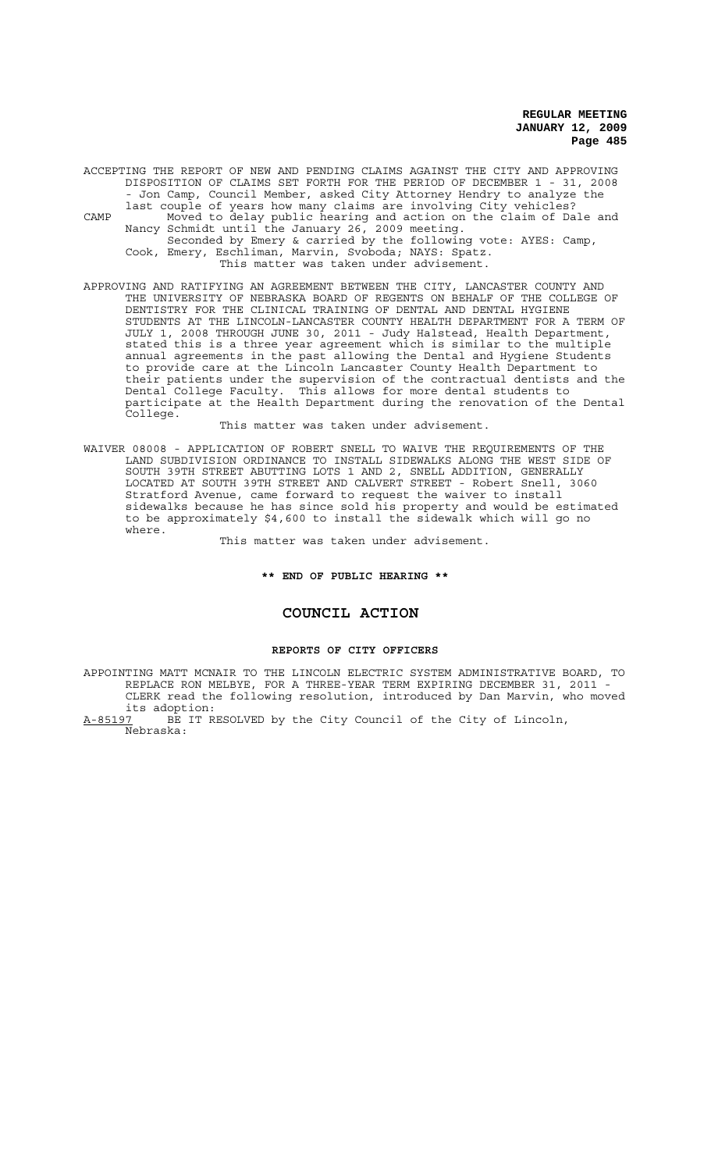ACCEPTING THE REPORT OF NEW AND PENDING CLAIMS AGAINST THE CITY AND APPROVING DISPOSITION OF CLAIMS SET FORTH FOR THE PERIOD OF DECEMBER 1 - 31, 2008 - Jon Camp, Council Member, asked City Attorney Hendry to analyze the last couple of years how many claims are involving City vehicles? CAMP Moved to delay public hearing and action on the claim of Dale and Nancy Schmidt until the January 26, 2009 meeting. Seconded by Emery & carried by the following vote: AYES: Camp, Cook, Emery, Eschliman, Marvin, Svoboda; NAYS: Spatz. This matter was taken under advisement.

APPROVING AND RATIFYING AN AGREEMENT BETWEEN THE CITY, LANCASTER COUNTY AND THE UNIVERSITY OF NEBRASKA BOARD OF REGENTS ON BEHALF OF THE COLLEGE OF DENTISTRY FOR THE CLINICAL TRAINING OF DENTAL AND DENTAL HYGIENE STUDENTS AT THE LINCOLN-LANCASTER COUNTY HEALTH DEPARTMENT FOR A TERM OF JULY 1, 2008 THROUGH JUNE 30, 2011 - Judy Halstead, Health Department, stated this is a three year agreement which is similar to the multiple annual agreements in the past allowing the Dental and Hygiene Students to provide care at the Lincoln Lancaster County Health Department to their patients under the supervision of the contractual dentists and the Dental College Faculty. This allows for more dental students to participate at the Health Department during the renovation of the Dental College.

This matter was taken under advisement.

WAIVER 08008 - APPLICATION OF ROBERT SNELL TO WAIVE THE REQUIREMENTS OF THE LAND SUBDIVISION ORDINANCE TO INSTALL SIDEWALKS ALONG THE WEST SIDE OF SOUTH 39TH STREET ABUTTING LOTS 1 AND 2, SNELL ADDITION, GENERALLY LOCATED AT SOUTH 39TH STREET AND CALVERT STREET - Robert Snell, 3060 Stratford Avenue, came forward to request the waiver to install sidewalks because he has since sold his property and would be estimated to be approximately \$4,600 to install the sidewalk which will go no where.

This matter was taken under advisement.

**\*\* END OF PUBLIC HEARING \*\***

# **COUNCIL ACTION**

# **REPORTS OF CITY OFFICERS**

APPOINTING MATT MCNAIR TO THE LINCOLN ELECTRIC SYSTEM ADMINISTRATIVE BOARD, TO REPLACE RON MELBYE, FOR A THREE-YEAR TERM EXPIRING DECEMBER 31, 2011 - CLERK read the following resolution, introduced by Dan Marvin, who moved its adoption:<br>A-85197 BE IT R

BE IT RESOLVED by the City Council of the City of Lincoln, Nebraska: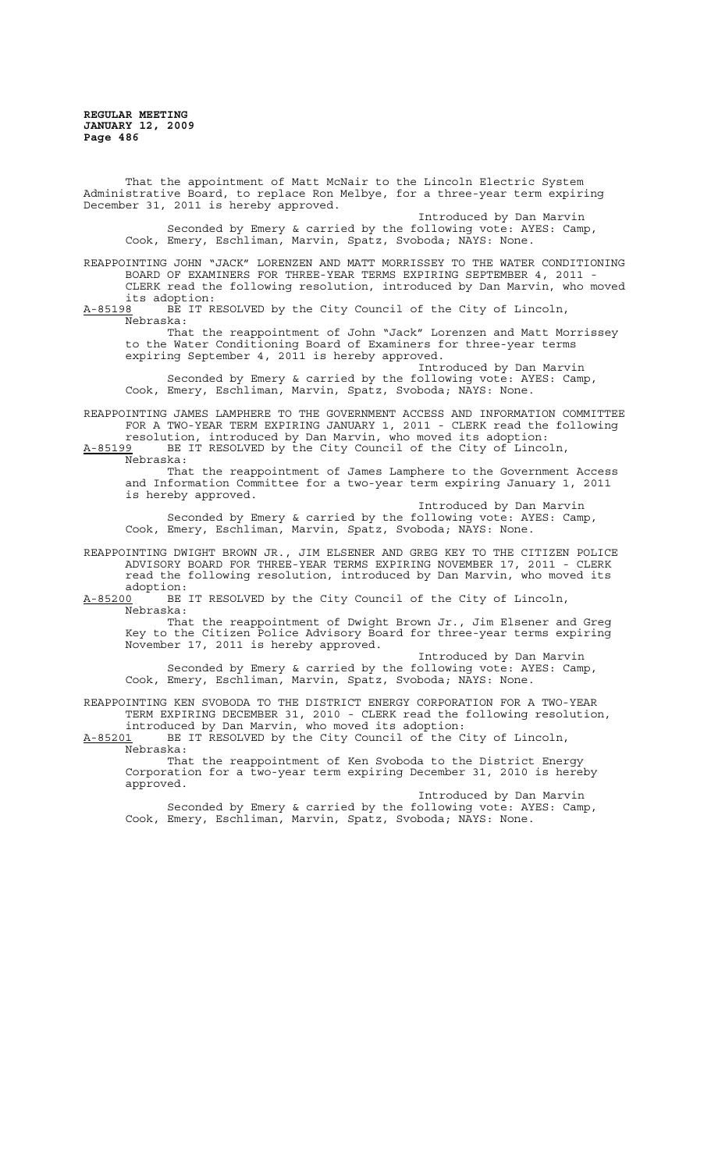That the appointment of Matt McNair to the Lincoln Electric System Administrative Board, to replace Ron Melbye, for a three-year term expiring December 31, 2011 is hereby approved.

Introduced by Dan Marvin Seconded by Emery & carried by the following vote: AYES: Camp, Cook, Emery, Eschliman, Marvin, Spatz, Svoboda; NAYS: None.

REAPPOINTING JOHN "JACK" LORENZEN AND MATT MORRISSEY TO THE WATER CONDITIONING BOARD OF EXAMINERS FOR THREE-YEAR TERMS EXPIRING SEPTEMBER 4, 2011 - CLERK read the following resolution, introduced by Dan Marvin, who moved

its adoption:<br><u>A-85198</u> BE IT R BE IT RESOLVED by the City Council of the City of Lincoln, Nebraska:

That the reappointment of John "Jack" Lorenzen and Matt Morrissey to the Water Conditioning Board of Examiners for three-year terms expiring September 4, 2011 is hereby approved.

Introduced by Dan Marvin Seconded by Emery & carried by the following vote: AYES: Camp, Cook, Emery, Eschliman, Marvin, Spatz, Svoboda; NAYS: None.

REAPPOINTING JAMES LAMPHERE TO THE GOVERNMENT ACCESS AND INFORMATION COMMITTEE FOR A TWO-YEAR TERM EXPIRING JANUARY 1, 2011 - CLERK read the following

resolution, introduced by Dan Marvin, who moved its adoption:<br>A-85199 BE IT RESOLVED by the City Council of the City of Linco BE IT RESOLVED by the City Council of the City of Lincoln Nebraska:

That the reappointment of James Lamphere to the Government Access and Information Committee for a two-year term expiring January 1, 2011 is hereby approved.

Introduced by Dan Marvin Seconded by Emery & carried by the following vote: AYES: Camp, Cook, Emery, Eschliman, Marvin, Spatz, Svoboda; NAYS: None.

REAPPOINTING DWIGHT BROWN JR., JIM ELSENER AND GREG KEY TO THE CITIZEN POLICE ADVISORY BOARD FOR THREE-YEAR TERMS EXPIRING NOVEMBER 17, 2011 - CLERK read the following resolution, introduced by Dan Marvin, who moved its adoption:

A-85200 BE IT RESOLVED by the City Council of the City of Lincoln, Nebraska:

That the reappointment of Dwight Brown Jr., Jim Elsener and Greg Key to the Citizen Police Advisory Board for three-year terms expiring November 17, 2011 is hereby approved.

Introduced by Dan Marvin Seconded by Emery & carried by the following vote: AYES: Camp, Cook, Emery, Eschliman, Marvin, Spatz, Svoboda; NAYS: None.

REAPPOINTING KEN SVOBODA TO THE DISTRICT ENERGY CORPORATION FOR A TWO-YEAR TERM EXPIRING DECEMBER 31, 2010 - CLERK read the following resolution, introduced by Dan Marvin, who moved its adoption:

A-85201 BE IT RESOLVED by the City Council of the City of Lincoln, Nebraska:

That the reappointment of Ken Svoboda to the District Energy Corporation for a two-year term expiring December 31, 2010 is hereby approved.

Introduced by Dan Marvin Seconded by Emery & carried by the following vote: AYES: Camp, Cook, Emery, Eschliman, Marvin, Spatz, Svoboda; NAYS: None.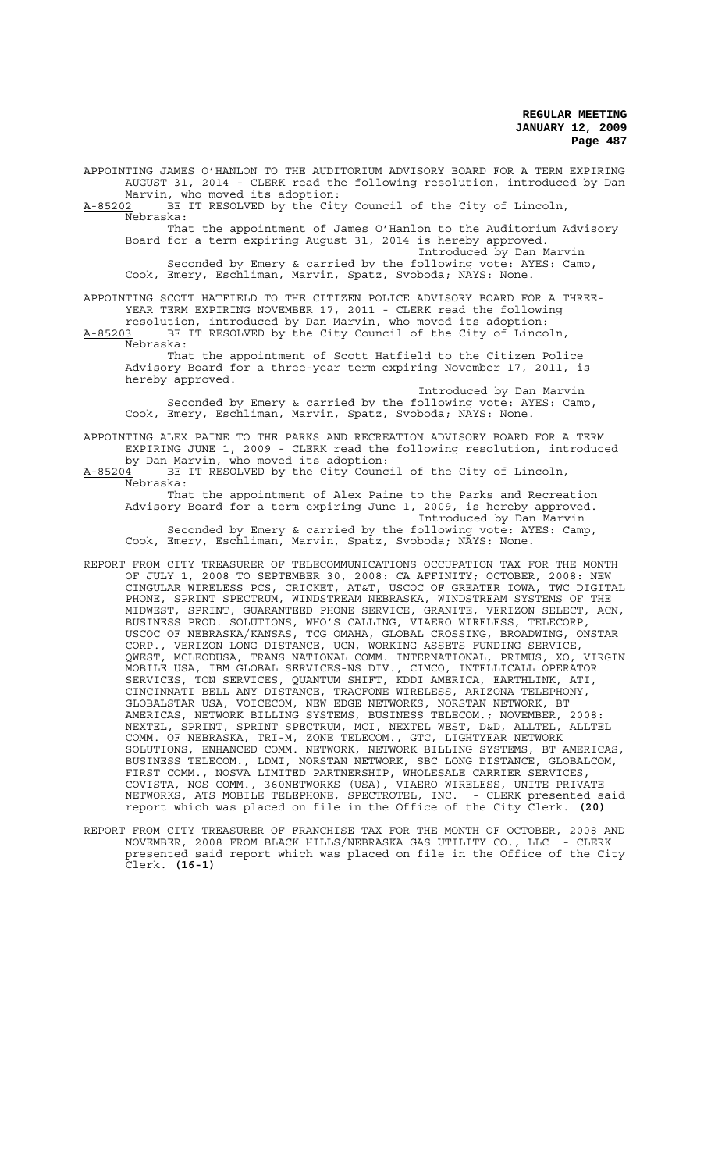APPOINTING JAMES O'HANLON TO THE AUDITORIUM ADVISORY BOARD FOR A TERM EXPIRING AUGUST 31, 2014 - CLERK read the following resolution, introduced by Dan Marvin, who moved its adoption: A-85202 BE IT RESOLVED by the City Council of the City of Lincoln,  $A-85202$  BE  $B-85202$  BE That the appointment of James O'Hanlon to the Auditorium Advisory Board for a term expiring August 31, 2014 is hereby approved.

Introduced by Dan Marvin Seconded by Emery & carried by the following vote: AYES: Camp, Cook, Emery, Eschliman, Marvin, Spatz, Svoboda; NAYS: None.

APPOINTING SCOTT HATFIELD TO THE CITIZEN POLICE ADVISORY BOARD FOR A THREE-YEAR TERM EXPIRING NOVEMBER 17, 2011 - CLERK read the following resolution, introduced by Dan Marvin, who moved its adoption:

A-85203 BE IT RESOLVED by the City Council of the City of Lincoln,  $A-85203$  BE<br>Nebraska:

That the appointment of Scott Hatfield to the Citizen Police Advisory Board for a three-year term expiring November 17, 2011, is hereby approved.

Introduced by Dan Marvin Seconded by Emery & carried by the following vote: AYES: Camp, Cook, Emery, Eschliman, Marvin, Spatz, Svoboda; NAYS: None.

APPOINTING ALEX PAINE TO THE PARKS AND RECREATION ADVISORY BOARD FOR A TERM EXPIRING JUNE 1, 2009 - CLERK read the following resolution, introduced by Dan Marvin, who moved its adoption:

A-85204 BE IT RESOLVED by the City Council of the City of Lincoln, Nebraska:

That the appointment of Alex Paine to the Parks and Recreation Advisory Board for a term expiring June 1, 2009, is hereby approved. Introduced by Dan Marvin

Seconded by Emery & carried by the following vote: AYES: Camp, Cook, Emery, Eschliman, Marvin, Spatz, Svoboda; NAYS: None.

- REPORT FROM CITY TREASURER OF TELECOMMUNICATIONS OCCUPATION TAX FOR THE MONTH OF JULY 1, 2008 TO SEPTEMBER 30, 2008: CA AFFINITY; OCTOBER, 2008: NEW CINGULAR WIRELESS PCS, CRICKET, AT&T, USCOC OF GREATER IOWA, TWC DIGITAL PHONE, SPRINT SPECTRUM, WINDSTREAM NEBRASKA, WINDSTREAM SYSTEMS OF THE MIDWEST, SPRINT, GUARANTEED PHONE SERVICE, GRANITE, VERIZON SELECT, ACN, BUSINESS PROD. SOLUTIONS, WHO'S CALLING, VIAERO WIRELESS, TELECORP, USCOC OF NEBRASKA/KANSAS, TCG OMAHA, GLOBAL CROSSING, BROADWING, ONSTAR CORP., VERIZON LONG DISTANCE, UCN, WORKING ASSETS FUNDING SERVICE, QWEST, MCLEODUSA, TRANS NATIONAL COMM. INTERNATIONAL, PRIMUS, XO, VIRGIN MOBILE USA, IBM GLOBAL SERVICES-NS DIV., CIMCO, INTELLICALL OPERATOR SERVICES, TON SERVICES, QUANTUM SHIFT, KDDI AMERICA, EARTHLINK, ATI, CINCINNATI BELL ANY DISTANCE, TRACFONE WIRELESS, ARIZONA TELEPHONY, GLOBALSTAR USA, VOICECOM, NEW EDGE NETWORKS, NORSTAN NETWORK, BT AMERICAS, NETWORK BILLING SYSTEMS, BUSINESS TELECOM.; NOVEMBER, 2008: NEXTEL, SPRINT, SPRINT SPECTRUM, MCI, NEXTEL WEST, D&D, ALLTEL, ALLTEL COMM. OF NEBRASKA, TRI-M, ZONE TELECOM., GTC, LIGHTYEAR NETWORK SOLUTIONS, ENHANCED COMM. NETWORK, NETWORK BILLING SYSTEMS, BT AMERICAS, BUSINESS TELECOM., LDMI, NORSTAN NETWORK, SBC LONG DISTANCE, GLOBALCOM, FIRST COMM., NOSVA LIMITED PARTNERSHIP, WHOLESALE CARRIER SERVICES, COVISTA, NOS COMM., 360NETWORKS (USA), VIAERO WIRELESS, UNITE PRIVATE NETWORKS, ATS MOBILE TELEPHONE, SPECTROTEL, INC. - CLERK presented said report which was placed on file in the Office of the City Clerk. **(20)**
- REPORT FROM CITY TREASURER OF FRANCHISE TAX FOR THE MONTH OF OCTOBER, 2008 AND NOVEMBER, 2008 FROM BLACK HILLS/NEBRASKA GAS UTILITY CO., LLC - CLERK presented said report which was placed on file in the Office of the City Clerk. **(16-1)**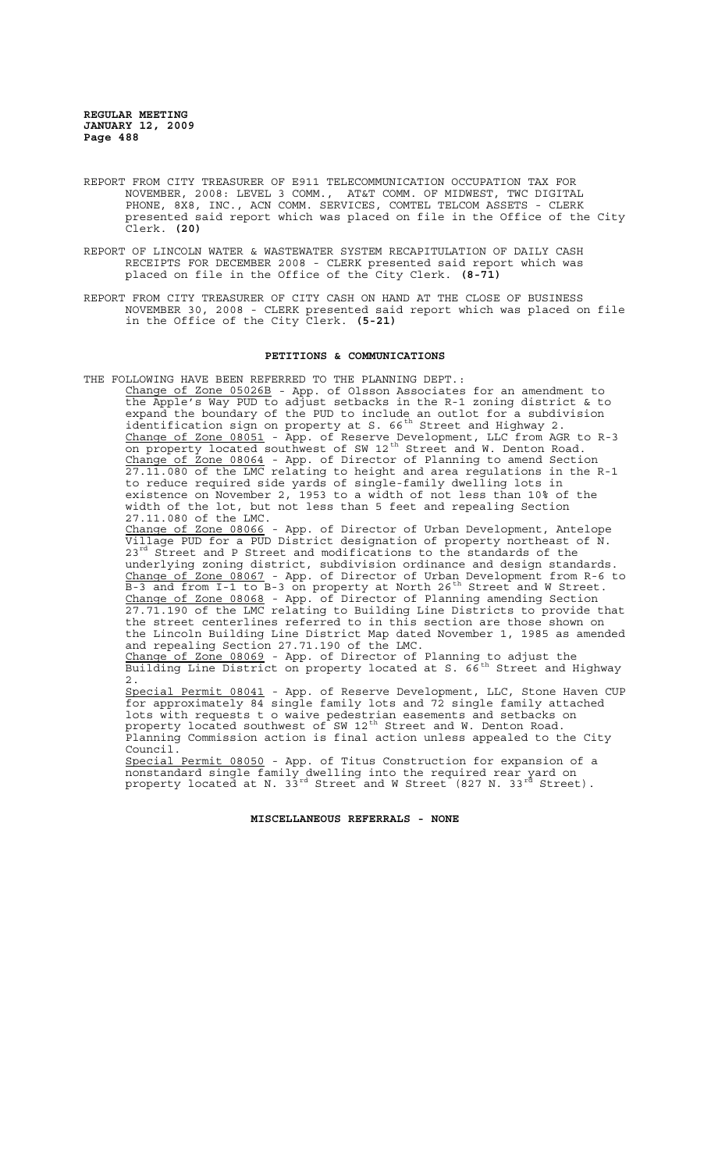- REPORT FROM CITY TREASURER OF E911 TELECOMMUNICATION OCCUPATION TAX FOR NOVEMBER, 2008: LEVEL 3 COMM., AT&T COMM. OF MIDWEST, TWC DIGITAL PHONE, 8X8, INC., ACN COMM. SERVICES, COMTEL TELCOM ASSETS - CLERK presented said report which was placed on file in the Office of the City Clerk. **(20)**
- REPORT OF LINCOLN WATER & WASTEWATER SYSTEM RECAPITULATION OF DAILY CASH RECEIPTS FOR DECEMBER 2008 - CLERK presented said report which was placed on file in the Office of the City Clerk. **(8-71)**
- REPORT FROM CITY TREASURER OF CITY CASH ON HAND AT THE CLOSE OF BUSINESS NOVEMBER 30, 2008 - CLERK presented said report which was placed on file in the Office of the City Clerk. **(5-21)**

### **PETITIONS & COMMUNICATIONS**

THE FOLLOWING HAVE BEEN REFERRED TO THE PLANNING DEPT.: Change of Zone 05026B - App. of Olsson Associates for an amendment to the Apple's Way PUD to adjust setbacks in the R-1 zoning district & to expand the boundary of the PUD to include an outlot for a subdivision identification sign on property at S.  $66^{th}$  Street and Highway 2. Change of Zone 08051 - App. of Reserve Development, LLC from AGR to R-3 on property located southwest of SW 12<sup>th</sup> Street and W. Denton Road. Change of Zone 08064 - App. of Director of Planning to amend Section 27.11.080 of the LMC relating to height and area regulations in the R-1 to reduce required side yards of single-family dwelling lots in existence on November 2, 1953 to a width of not less than 10% of the width of the lot, but not less than 5 feet and repealing Section 27.11.080 of the LMC. Change of Zone 08066 - App. of Director of Urban Development, Antelope Village PUD for a PUD District designation of property northeast of N. 23<sup>rd</sup> Street and P Street and modifications to the standards of the underlying zoning district, subdivision ordinance and design standards. Change of Zone 08067 - App. of Director of Urban Development from R-6 to B-3 and from I-1 to B-3 on property at North 26<sup>th</sup> Street and W Street. Change of Zone 08068 - App. of Director of Planning amending Section 27.71.190 of the LMC relating to Building Line Districts to provide that the street centerlines referred to in this section are those shown on the Lincoln Building Line District Map dated November 1, 1985 as amended and repealing Section 27.71.190 of the LMC. Change of Zone 08069 - App. of Director of Planning to adjust the Building Line District on property located at S. 66<sup>th</sup> Street and Highway 2. Special Permit 08041 - App. of Reserve Development, LLC, Stone Haven CUP for approximately 84 single family lots and 72 single family attached lots with requests t o waive pedestrian easements and setbacks on property located southwest of SW 12<sup>th</sup> Street and W. Denton Road. Planning Commission action is final action unless appealed to the City Council. Special Permit 08050 - App. of Titus Construction for expansion of a nonstandard single family dwelling into the required rear yard on property located at N. 33<sup>rd</sup> Street and W Street (827 N. 33<sup>rd</sup> Street).

#### **MISCELLANEOUS REFERRALS - NONE**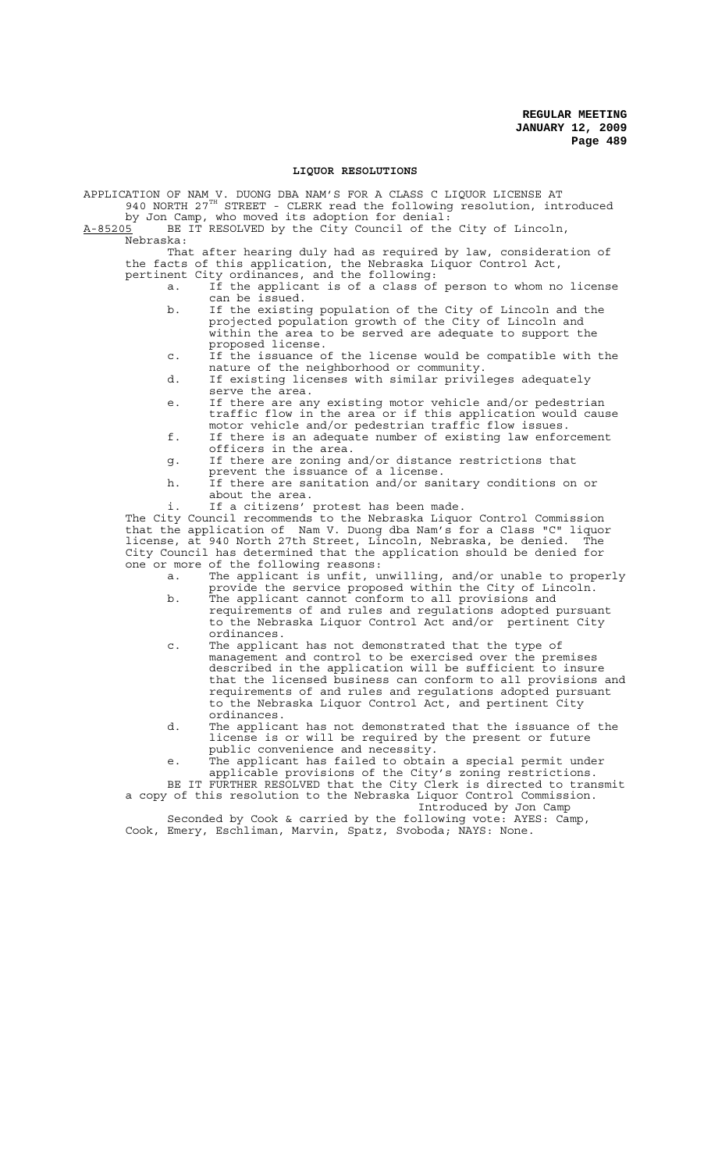#### **LIQUOR RESOLUTIONS**

APPLICATION OF NAM V. DUONG DBA NAM'S FOR A CLASS C LIQUOR LICENSE AT 940 NORTH 27<sup>TH</sup> STREET - CLERK read the following resolution, introduced by Jon Camp, who moved its adoption for denial:

A-85205 BE IT RESOLVED by the City Council of the City of Lincoln,

Nebraska:

That after hearing duly had as required by law, consideration of the facts of this application, the Nebraska Liquor Control Act, pertinent City ordinances, and the following:

- a. If the applicant is of a class of person to whom no license can be issued.
- b. If the existing population of the City of Lincoln and the projected population growth of the City of Lincoln and within the area to be served are adequate to support the proposed license.
- c. If the issuance of the license would be compatible with the nature of the neighborhood or community.
- d. If existing licenses with similar privileges adequately serve the area.
- e. If there are any existing motor vehicle and/or pedestrian traffic flow in the area or if this application would cause motor vehicle and/or pedestrian traffic flow issues.
- f. If there is an adequate number of existing law enforcement officers in the area.
- g. If there are zoning and/or distance restrictions that prevent the issuance of a license.
- h. If there are sanitation and/or sanitary conditions on or about the area.
- If a citizens' protest has been made.

The City Council recommends to the Nebraska Liquor Control Commission that the application of Nam V. Duong dba Nam's for a Class "C" liquor license, at 940 North 27th Street, Lincoln, Nebraska, be denied. The City Council has determined that the application should be denied for one or more of the following reasons:

- a. The applicant is unfit, unwilling, and/or unable to properly provide the service proposed within the City of Lincoln. b. The applicant cannot conform to all provisions and
- requirements of and rules and regulations adopted pursuant to the Nebraska Liquor Control Act and/or pertinent City ordinances.
- c. The applicant has not demonstrated that the type of management and control to be exercised over the premises described in the application will be sufficient to insure that the licensed business can conform to all provisions and requirements of and rules and regulations adopted pursuant to the Nebraska Liquor Control Act, and pertinent City ordinances.
- d. The applicant has not demonstrated that the issuance of the license is or will be required by the present or future public convenience and necessity.
- e. The applicant has failed to obtain a special permit under applicable provisions of the City's zoning restrictions.

BE IT FURTHER RESOLVED that the City Clerk is directed to transmit a copy of this resolution to the Nebraska Liquor Control Commission.

Introduced by Jon Camp<br>Illowing vote: AYES: Camp, Seconded by Cook & carried by the following vote: AYES: Camp, Cook, Emery, Eschliman, Marvin, Spatz, Svoboda; NAYS: None.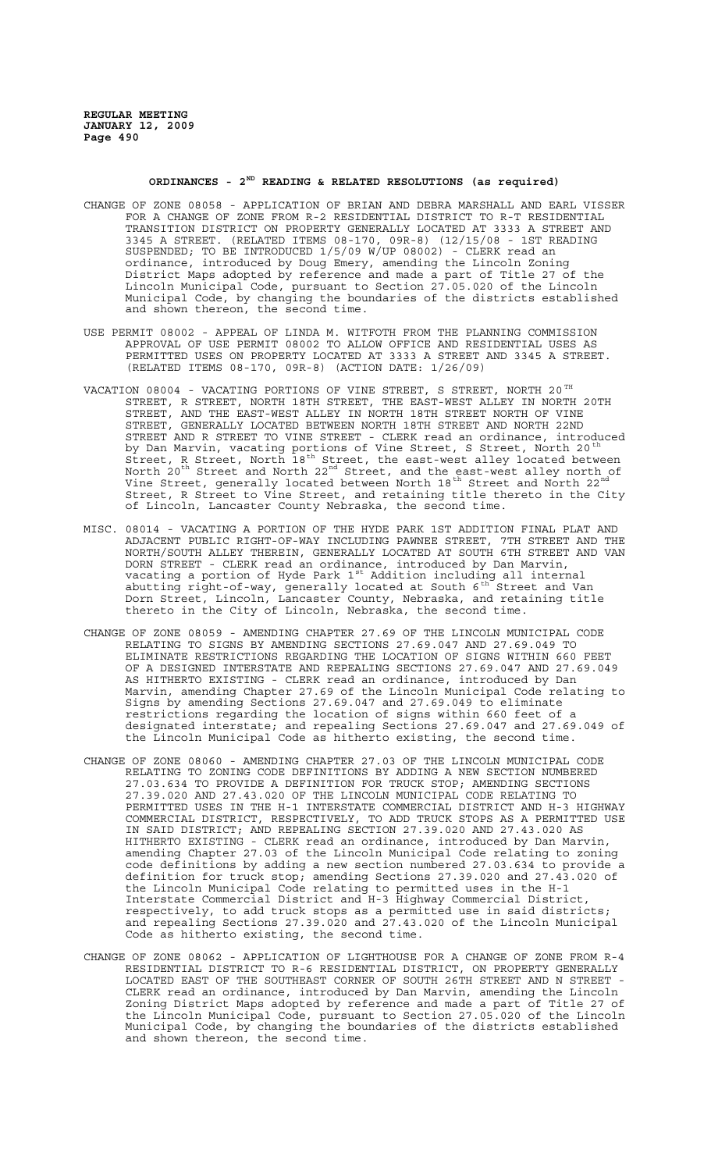# **ORDINANCES - 2ND READING & RELATED RESOLUTIONS (as required)**

- CHANGE OF ZONE 08058 APPLICATION OF BRIAN AND DEBRA MARSHALL AND EARL VISSER FOR A CHANGE OF ZONE FROM R-2 RESIDENTIAL DISTRICT TO R-T RESIDENTIAL TRANSITION DISTRICT ON PROPERTY GENERALLY LOCATED AT 3333 A STREET AND 3345 A STREET. (RELATED ITEMS 08-170, 09R-8) (12/15/08 - 1ST READING SUSPENDED; TO BE INTRODUCED 1/5/09 W/UP 08002) - CLERK read an ordinance, introduced by Doug Emery, amending the Lincoln Zoning District Maps adopted by reference and made a part of Title 27 of the Lincoln Municipal Code, pursuant to Section 27.05.020 of the Lincoln Municipal Code, by changing the boundaries of the districts established and shown thereon, the second time.
- USE PERMIT 08002 APPEAL OF LINDA M. WITFOTH FROM THE PLANNING COMMISSION APPROVAL OF USE PERMIT 08002 TO ALLOW OFFICE AND RESIDENTIAL USES AS PERMITTED USES ON PROPERTY LOCATED AT 3333 A STREET AND 3345 A STREET. (RELATED ITEMS 08-170, 09R-8) (ACTION DATE: 1/26/09)
- VACATION 08004 VACATING PORTIONS OF VINE STREET, S STREET, NORTH 20 $^{TH}$ STREET, R STREET, NORTH 18TH STREET, IT STREET, IT STREET, IT STREET, IT STREET, IT STREET, THE EAST-WEST ALLEY IN NORTH 20TH STREET, AND THE EAST-WEST ALLEY IN NORTH 18TH STREET NORTH OF VINE STREET, GENERALLY LOCATED BETWEEN NORTH 18TH STREET AND NORTH 22ND STREET AND R STREET TO VINE STREET - CLERK read an ordinance, introduced by Dan Marvin, vacating portions of Vine Street, S Street, North 20<sup>th</sup> Street, R Street, North 18th Street, the east-west alley located between North  $20^{\text{th}}$  Street and North  $22^{\text{nd}}$  Street, and the east-west alley north of Vine Street, generally located between North 18<sup>th</sup> Street and North 22<sup>nd</sup> Street, R Street to Vine Street, and retaining title thereto in the City of Lincoln, Lancaster County Nebraska, the second time.
- MISC. 08014 VACATING A PORTION OF THE HYDE PARK 1ST ADDITION FINAL PLAT AND ADJACENT PUBLIC RIGHT-OF-WAY INCLUDING PAWNEE STREET, 7TH STREET AND THE NORTH/SOUTH ALLEY THEREIN, GENERALLY LOCATED AT SOUTH 6TH STREET AND VAN DORN STREET - CLERK read an ordinance, introduced by Dan Marvin, vacating a portion of Hyde Park  $1^{\text{st}}$  Addition including all internal abutting right-of-way, generally located at South  $6^{th}$  Street and Van Dorn Street, Lincoln, Lancaster County, Nebraska, and retaining title thereto in the City of Lincoln, Nebraska, the second time.
- CHANGE OF ZONE 08059 AMENDING CHAPTER 27.69 OF THE LINCOLN MUNICIPAL CODE RELATING TO SIGNS BY AMENDING SECTIONS 27.69.047 AND 27.69.049 TO ELIMINATE RESTRICTIONS REGARDING THE LOCATION OF SIGNS WITHIN 660 FEET OF A DESIGNED INTERSTATE AND REPEALING SECTIONS 27.69.047 AND 27.69.049 AS HITHERTO EXISTING - CLERK read an ordinance, introduced by Dan Marvin, amending Chapter 27.69 of the Lincoln Municipal Code relating to Signs by amending Sections 27.69.047 and 27.69.049 to eliminate restrictions regarding the location of signs within 660 feet of a designated interstate; and repealing Sections 27.69.047 and 27.69.049 of the Lincoln Municipal Code as hitherto existing, the second time.
- CHANGE OF ZONE 08060 AMENDING CHAPTER 27.03 OF THE LINCOLN MUNICIPAL CODE RELATING TO ZONING CODE DEFINITIONS BY ADDING A NEW SECTION NUMBERED 27.03.634 TO PROVIDE A DEFINITION FOR TRUCK STOP; AMENDING SECTIONS 27.39.020 AND 27.43.020 OF THE LINCOLN MUNICIPAL CODE RELATING TO PERMITTED USES IN THE H-1 INTERSTATE COMMERCIAL DISTRICT AND H-3 HIGHWAY COMMERCIAL DISTRICT, RESPECTIVELY, TO ADD TRUCK STOPS AS A PERMITTED USE IN SAID DISTRICT; AND REPEALING SECTION 27.39.020 AND 27.43.020 AS HITHERTO EXISTING - CLERK read an ordinance, introduced by Dan Marvin, amending Chapter 27.03 of the Lincoln Municipal Code relating to zoning code definitions by adding a new section numbered 27.03.634 to provide a definition for truck stop; amending Sections 27.39.020 and 27.43.020 of the Lincoln Municipal Code relating to permitted uses in the H-1 Interstate Commercial District and H-3 Highway Commercial District, respectively, to add truck stops as a permitted use in said districts; and repealing Sections 27.39.020 and 27.43.020 of the Lincoln Municipal Code as hitherto existing, the second time.
- CHANGE OF ZONE 08062 APPLICATION OF LIGHTHOUSE FOR A CHANGE OF ZONE FROM R-4 RESIDENTIAL DISTRICT TO R-6 RESIDENTIAL DISTRICT, ON PROPERTY GENERALLY LOCATED EAST OF THE SOUTHEAST CORNER OF SOUTH 26TH STREET AND N STREET - CLERK read an ordinance, introduced by Dan Marvin, amending the Lincoln Zoning District Maps adopted by reference and made a part of Title 27 of the Lincoln Municipal Code, pursuant to Section 27.05.020 of the Lincoln Municipal Code, by changing the boundaries of the districts established and shown thereon, the second time.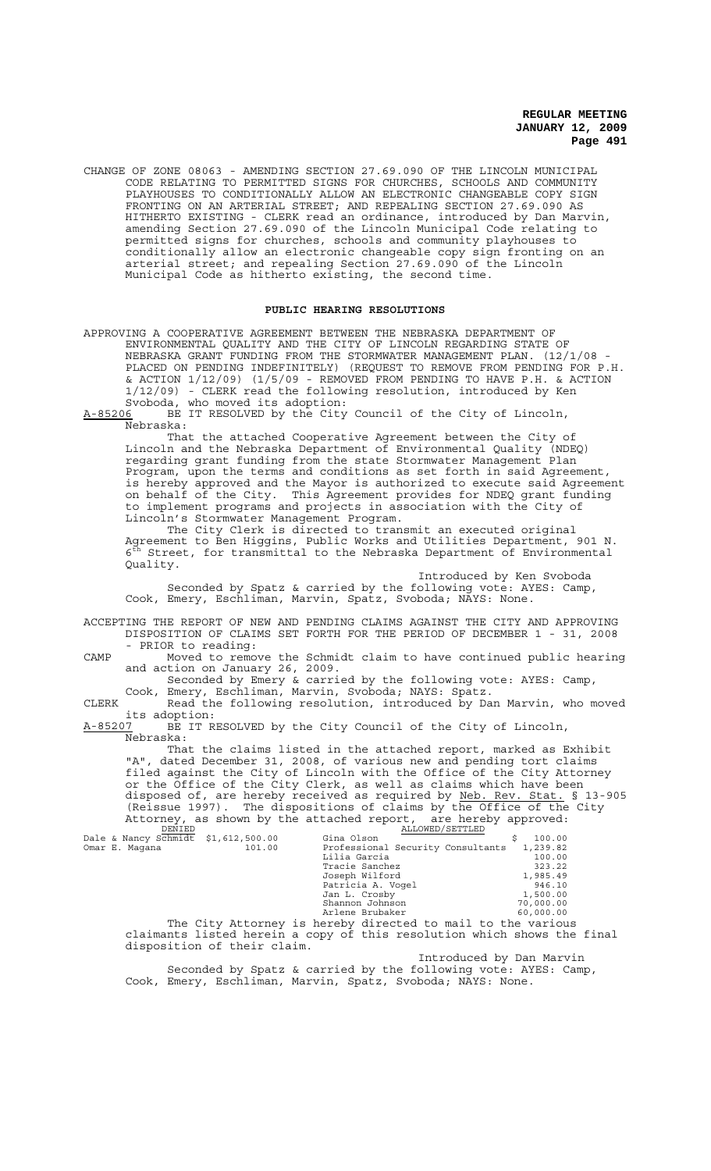CHANGE OF ZONE 08063 - AMENDING SECTION 27.69.090 OF THE LINCOLN MUNICIPAL CODE RELATING TO PERMITTED SIGNS FOR CHURCHES, SCHOOLS AND COMMUNITY PLAYHOUSES TO CONDITIONALLY ALLOW AN ELECTRONIC CHANGEABLE COPY SIGN FRONTING ON AN ARTERIAL STREET; AND REPEALING SECTION 27.69.090 AS HITHERTO EXISTING - CLERK read an ordinance, introduced by Dan Marvin, amending Section 27.69.090 of the Lincoln Municipal Code relating to permitted signs for churches, schools and community playhouses to conditionally allow an electronic changeable copy sign fronting on an arterial street; and repealing Section 27.69.090 of the Lincoln Municipal Code as hitherto existing, the second time.

## **PUBLIC HEARING RESOLUTIONS**

APPROVING A COOPERATIVE AGREEMENT BETWEEN THE NEBRASKA DEPARTMENT OF ENVIRONMENTAL QUALITY AND THE CITY OF LINCOLN REGARDING STATE OF NEBRASKA GRANT FUNDING FROM THE STORMWATER MANAGEMENT PLAN. (12/1/08 - PLACED ON PENDING INDEFINITELY) (REQUEST TO REMOVE FROM PENDING FOR P.H. & ACTION 1/12/09) (1/5/09 - REMOVED FROM PENDING TO HAVE P.H. & ACTION 1/12/09) - CLERK read the following resolution, introduced by Ken Svoboda, who moved its adoption:<br>A-85206 BE IT RESOLVED by the City

BE IT RESOLVED by the City Council of the City of Lincoln, Nebraska:

That the attached Cooperative Agreement between the City of Lincoln and the Nebraska Department of Environmental Quality (NDEQ) regarding grant funding from the state Stormwater Management Plan Program, upon the terms and conditions as set forth in said Agreement, is hereby approved and the Mayor is authorized to execute said Agreement on behalf of the City. This Agreement provides for NDEQ grant funding to implement programs and projects in association with the City of Lincoln's Stormwater Management Program.

The City Clerk is directed to transmit an executed original Agreement to Ben Higgins, Public Works and Utilities Department, 901 N.  $6<sup>th</sup> Street, for transmitted to the Nebraska Department of Environmental$ Quality.

Introduced by Ken Svoboda Seconded by Spatz & carried by the following vote: AYES: Camp, Cook, Emery, Eschliman, Marvin, Spatz, Svoboda; NAYS: None.

ACCEPTING THE REPORT OF NEW AND PENDING CLAIMS AGAINST THE CITY AND APPROVING DISPOSITION OF CLAIMS SET FORTH FOR THE PERIOD OF DECEMBER 1 - 31, 2008 - PRIOR to reading:

CAMP Moved to remove the Schmidt claim to have continued public hearing and action on January 26, 2009.

Seconded by Emery & carried by the following vote: AYES: Camp, Cook, Emery, Eschliman, Marvin, Svoboda; NAYS: Spatz.

CLERK Read the following resolution, introduced by Dan Marvin, who moved its adoption:<br><u>A-85207</u> BE IT R

BE IT RESOLVED by the City Council of the City of Lincoln, Nebraska:

That the claims listed in the attached report, marked as Exhibit "A", dated December 31, 2008, of various new and pending tort claims filed against the City of Lincoln with the Office of the City Attorney or the Office of the City Clerk, as well as claims which have been disposed of, are hereby received as required by Neb. Rev. Stat. § 13-905 (Reissue 1997). The dispositions of claims by the Office of the City Attorney, as shown by the attached report, are hereby approved:<br>
Dale & Nancy Schmidt \$1,612,500.00 Gina Olson \$ 100.00

|  | Dale & Nancy Schmidt $$1,612,500.00$ |        | Gina Olson                        | 100.00    |
|--|--------------------------------------|--------|-----------------------------------|-----------|
|  | Omar E. Maqana                       | 101.00 | Professional Security Consultants | 1,239.82  |
|  |                                      |        | Lilia Garcia                      | 100.00    |
|  |                                      |        | Tracie Sanchez                    | 323.22    |
|  |                                      |        | Joseph Wilford                    | 1,985.49  |
|  |                                      |        | Patricia A. Vogel                 | 946.10    |
|  |                                      |        | Jan L. Crosby                     | 1,500.00  |
|  |                                      |        | Shannon Johnson                   | 70,000.00 |
|  |                                      |        | Arlene Brubaker                   | 60,000.00 |
|  |                                      |        |                                   |           |

The City Attorney is hereby directed to mail to the various claimants listed herein a copy of this resolution which shows the final disposition of their claim.

Introduced by Dan Marvin

Seconded by Spatz & carried by the following vote: AYES: Camp, Cook, Emery, Eschliman, Marvin, Spatz, Svoboda; NAYS: None.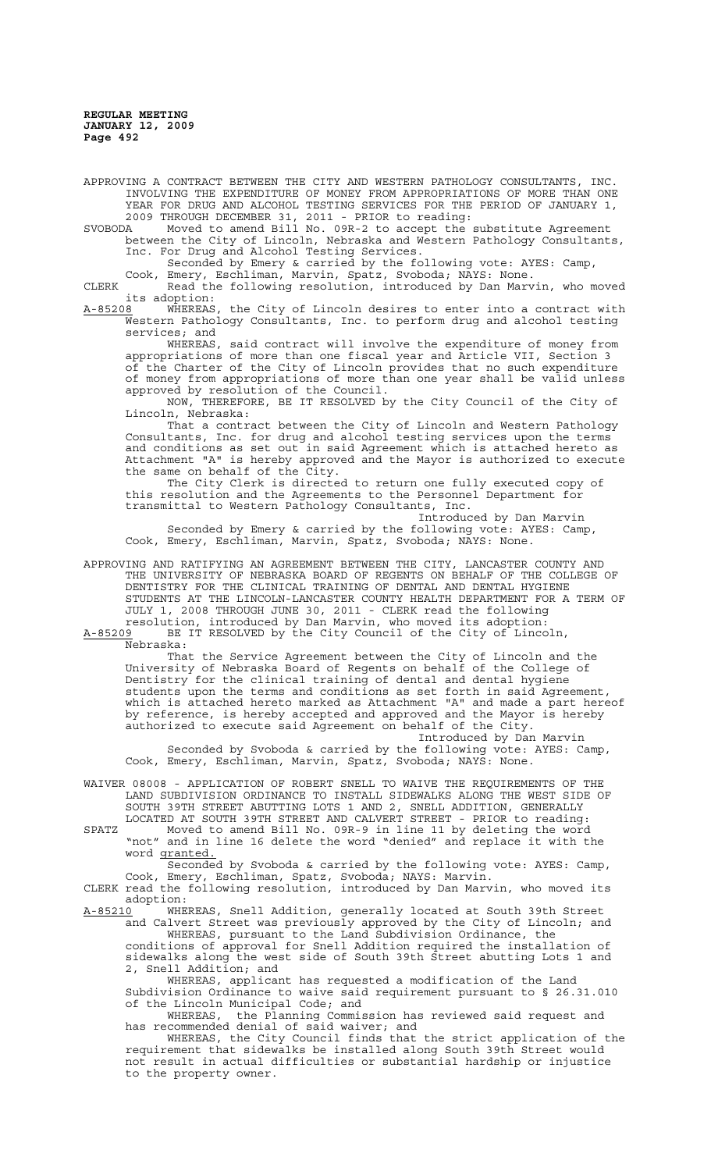APPROVING A CONTRACT BETWEEN THE CITY AND WESTERN PATHOLOGY CONSULTANTS, INC. INVOLVING THE EXPENDITURE OF MONEY FROM APPROPRIATIONS OF MORE THAN ONE YEAR FOR DRUG AND ALCOHOL TESTING SERVICES FOR THE PERIOD OF JANUARY 1, 2009 THROUGH DECEMBER 31, 2011 - PRIOR to reading: SVOBODA Moved to amend Bill No. 09R-2 to accept the substitute Agreement between the City of Lincoln, Nebraska and Western Pathology Consultants, Inc. For Drug and Alcohol Testing Services. Seconded by Emery & carried by the following vote: AYES: Camp, Cook, Emery, Eschliman, Marvin, Spatz, Svoboda; NAYS: None. CLERK Read the following resolution, introduced by Dan Marvin, who moved its adoption:<br><u>A-85208</u> WHEREAS WHEREAS, the City of Lincoln desires to enter into a contract with Western Pathology Consultants, Inc. to perform drug and alcohol testing services; and

WHEREAS, said contract will involve the expenditure of money from appropriations of more than one fiscal year and Article VII, Section 3 of the Charter of the City of Lincoln provides that no such expenditure of money from appropriations of more than one year shall be valid unless approved by resolution of the Council.<br>NOW, THEREFORE, BE IT RESOLVED b

THEREFORE, BE IT RESOLVED by the City Council of the City of Lincoln, Nebraska:

That a contract between the City of Lincoln and Western Pathology Consultants, Inc. for drug and alcohol testing services upon the terms and conditions as set out in said Agreement which is attached hereto as Attachment "A" is hereby approved and the Mayor is authorized to execute the same on behalf of the City.

The City Clerk is directed to return one fully executed copy of this resolution and the Agreements to the Personnel Department for transmittal to Western Pathology Consultants, Inc.

Introduced by Dan Marvin Seconded by Emery & carried by the following vote: AYES: Camp, Cook, Emery, Eschliman, Marvin, Spatz, Svoboda; NAYS: None.

APPROVING AND RATIFYING AN AGREEMENT BETWEEN THE CITY, LANCASTER COUNTY AND THE UNIVERSITY OF NEBRASKA BOARD OF REGENTS ON BEHALF OF THE COLLEGE OF DENTISTRY FOR THE CLINICAL TRAINING OF DENTAL AND DENTAL HYGIENE STUDENTS AT THE LINCOLN-LANCASTER COUNTY HEALTH DEPARTMENT FOR A TERM OF JULY 1, 2008 THROUGH JUNE 30, 2011 - CLERK read the following resolution, introduced by Dan Marvin, who moved its adoption:

A-85209 BE IT RESOLVED by the City Council of the City of Lincoln, Nebraska:

That the Service Agreement between the City of Lincoln and the University of Nebraska Board of Regents on behalf of the College of Dentistry for the clinical training of dental and dental hygiene students upon the terms and conditions as set forth in said Agreement, which is attached hereto marked as Attachment "A" and made a part hereof by reference, is hereby accepted and approved and the Mayor is hereby authorized to execute said Agreement on behalf of the City.

Introduced by Dan Marvin Seconded by Svoboda & carried by the following vote: AYES: Camp, Cook, Emery, Eschliman, Marvin, Spatz, Svoboda; NAYS: None.

WAIVER 08008 - APPLICATION OF ROBERT SNELL TO WAIVE THE REQUIREMENTS OF THE LAND SUBDIVISION ORDINANCE TO INSTALL SIDEWALKS ALONG THE WEST SIDE OF SOUTH 39TH STREET ABUTTING LOTS 1 AND 2, SNELL ADDITION, GENERALLY LOCATED AT SOUTH 39TH STREET AND CALVERT STREET - PRIOR to reading:

SPATZ Moved to amend Bill No. 09R-9 in line 11 by deleting the word "not" and in line 16 delete the word "denied" and replace it with the word granted.

Seconded by Svoboda & carried by the following vote: AYES: Camp, Cook, Emery, Eschliman, Spatz, Svoboda; NAYS: Marvin.

CLERK read the following resolution, introduced by Dan Marvin, who moved its adoption:

A-85210 WHEREAS, Snell Addition, generally located at South 39th Street and Calvert Street was previously approved by the City of Lincoln; and WHEREAS, pursuant to the Land Subdivision Ordinance, the

conditions of approval for Snell Addition required the installation of sidewalks along the west side of South 39th Street abutting Lots 1 and 2, Snell Addition; and

WHEREAS, applicant has requested a modification of the Land Subdivision Ordinance to waive said requirement pursuant to § 26.31.010 of the Lincoln Municipal Code; and

WHEREAS, the Planning Commission has reviewed said request and has recommended denial of said waiver; and

WHEREAS, the City Council finds that the strict application of the requirement that sidewalks be installed along South 39th Street would not result in actual difficulties or substantial hardship or injustice to the property owner.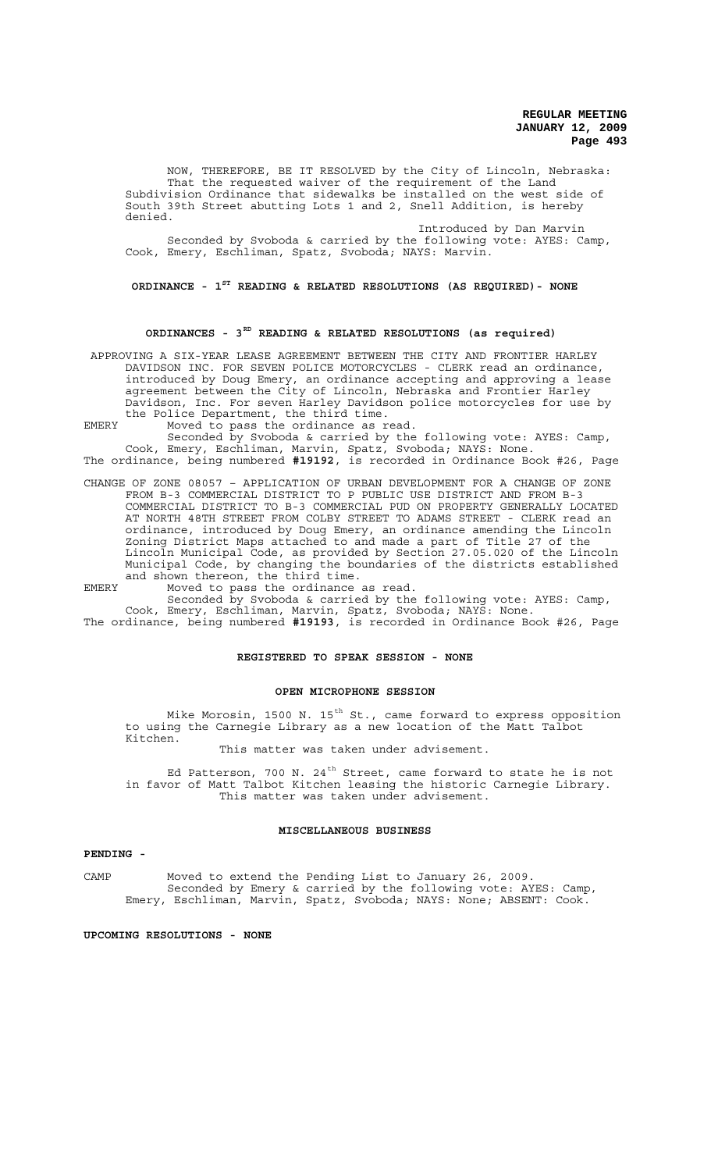NOW, THEREFORE, BE IT RESOLVED by the City of Lincoln, Nebraska: That the requested waiver of the requirement of the Land Subdivision Ordinance that sidewalks be installed on the west side of South 39th Street abutting Lots 1 and 2, Snell Addition, is hereby denied.

Introduced by Dan Marvin Seconded by Svoboda & carried by the following vote: AYES: Camp, Cook, Emery, Eschliman, Spatz, Svoboda; NAYS: Marvin.

# **ORDINANCE - 1ST READING & RELATED RESOLUTIONS (AS REQUIRED)- NONE**

#### **ORDINANCES - 3RD READING & RELATED RESOLUTIONS (as required)**

 APPROVING A SIX-YEAR LEASE AGREEMENT BETWEEN THE CITY AND FRONTIER HARLEY DAVIDSON INC. FOR SEVEN POLICE MOTORCYCLES - CLERK read an ordinance, introduced by Doug Emery, an ordinance accepting and approving a lease agreement between the City of Lincoln, Nebraska and Frontier Harley Davidson, Inc. For seven Harley Davidson police motorcycles for use by the Police Department, the third time.

EMERY Moved to pass the ordinance as read.

Seconded by Svoboda & carried by the following vote: AYES: Camp, Cook, Emery, Eschliman, Marvin, Spatz, Svoboda; NAYS: None. The ordinance, being numbered **#19192**, is recorded in Ordinance Book #26, Page

CHANGE OF ZONE 08057 – APPLICATION OF URBAN DEVELOPMENT FOR A CHANGE OF ZONE FROM B-3 COMMERCIAL DISTRICT TO P PUBLIC USE DISTRICT AND FROM B-3 COMMERCIAL DISTRICT TO B-3 COMMERCIAL PUD ON PROPERTY GENERALLY LOCATED AT NORTH 48TH STREET FROM COLBY STREET TO ADAMS STREET - CLERK read an ordinance, introduced by Doug Emery, an ordinance amending the Lincoln Zoning District Maps attached to and made a part of Title 27 of the Lincoln Municipal Code, as provided by Section 27.05.020 of the Lincoln Municipal Code, by changing the boundaries of the districts established and shown thereon, the third time.

EMERY Moved to pass the ordinance as read. Seconded by Svoboda & carried by the following vote: AYES: Camp,

Cook, Emery, Eschliman, Marvin, Spatz, Svoboda; NAYS: None. The ordinance, being numbered **#19193**, is recorded in Ordinance Book #26, Page

#### **REGISTERED TO SPEAK SESSION - NONE**

#### **OPEN MICROPHONE SESSION**

Mike Morosin, 1500 N. 15<sup>th</sup> St., came forward to express opposition to using the Carnegie Library as a new location of the Matt Talbot Kitchen.

This matter was taken under advisement.

Ed Patterson, 700 N.  $24^{th}$  Street, came forward to state he is not in favor of Matt Talbot Kitchen leasing the historic Carnegie Library. This matter was taken under advisement.

#### **MISCELLANEOUS BUSINESS**

#### **PENDING -**

CAMP Moved to extend the Pending List to January 26, 2009. Seconded by Emery & carried by the following vote: AYES: Camp, Emery, Eschliman, Marvin, Spatz, Svoboda; NAYS: None; ABSENT: Cook.

## **UPCOMING RESOLUTIONS - NONE**